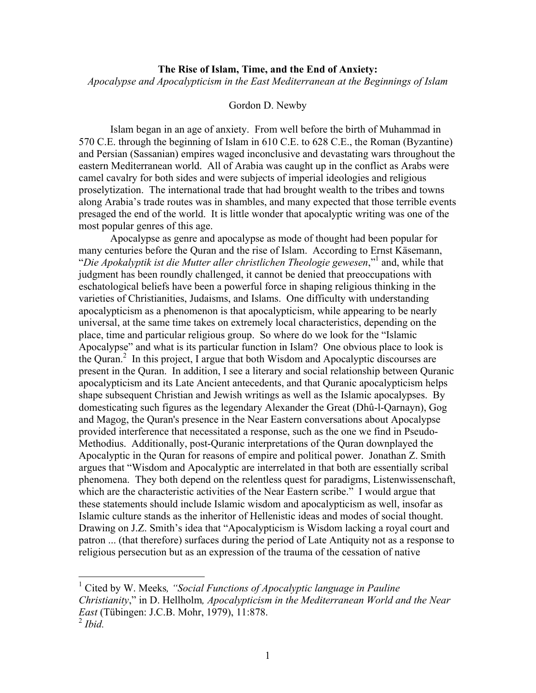## **The Rise of Islam, Time, and the End of Anxiety:** *Apocalypse and Apocalypticism in the East Mediterranean at the Beginnings of Islam*

## Gordon D. Newby

Islam began in an age of anxiety. From well before the birth of Muhammad in 570 C.E. through the beginning of Islam in 610 C.E. to 628 C.E., the Roman (Byzantine) and Persian (Sassanian) empires waged inconclusive and devastating wars throughout the eastern Mediterranean world. All of Arabia was caught up in the conflict as Arabs were camel cavalry for both sides and were subjects of imperial ideologies and religious proselytization. The international trade that had brought wealth to the tribes and towns along Arabia's trade routes was in shambles, and many expected that those terrible events presaged the end of the world. It is little wonder that apocalyptic writing was one of the most popular genres of this age.

Apocalypse as genre and apocalypse as mode of thought had been popular for many centuries before the Quran and the rise of Islam. According to Ernst Käsemann, "*Die Apokalyptik ist die Mutter aller christlichen Theologie gewesen*," <sup>1</sup> and, while that judgment has been roundly challenged, it cannot be denied that preoccupations with eschatological beliefs have been a powerful force in shaping religious thinking in the varieties of Christianities, Judaisms, and Islams. One difficulty with understanding apocalypticism as a phenomenon is that apocalypticism, while appearing to be nearly universal, at the same time takes on extremely local characteristics, depending on the place, time and particular religious group. So where do we look for the "Islamic Apocalypse" and what is its particular function in Islam? One obvious place to look is the Quran.<sup>2</sup> In this project, I argue that both Wisdom and Apocalyptic discourses are present in the Quran. In addition, I see a literary and social relationship between Quranic apocalypticism and its Late Ancient antecedents, and that Quranic apocalypticism helps shape subsequent Christian and Jewish writings as well as the Islamic apocalypses. By domesticating such figures as the legendary Alexander the Great (Dhû-l-Qarnayn), Gog and Magog, the Quran's presence in the Near Eastern conversations about Apocalypse provided interference that necessitated a response, such as the one we find in Pseudo-Methodius. Additionally, post-Quranic interpretations of the Quran downplayed the Apocalyptic in the Quran for reasons of empire and political power. Jonathan Z. Smith argues that "Wisdom and Apocalyptic are interrelated in that both are essentially scribal phenomena. They both depend on the relentless quest for paradigms, Listenwissenschaft, which are the characteristic activities of the Near Eastern scribe." I would argue that these statements should include Islamic wisdom and apocalypticism as well, insofar as Islamic culture stands as the inheritor of Hellenistic ideas and modes of social thought. Drawing on J.Z. Smith's idea that "Apocalypticism is Wisdom lacking a royal court and patron ... (that therefore) surfaces during the period of Late Antiquity not as a response to religious persecution but as an expression of the trauma of the cessation of native

 <sup>1</sup> Cited by W. Meeks*, "Social Functions of Apocalyptic language in Pauline Christianity*," in D. Hellholm*, Apocalypticism in the Mediterranean World and the Near East* (Tübingen: J.C.B. Mohr, 1979), 11:878.

<sup>2</sup> *Ibid.*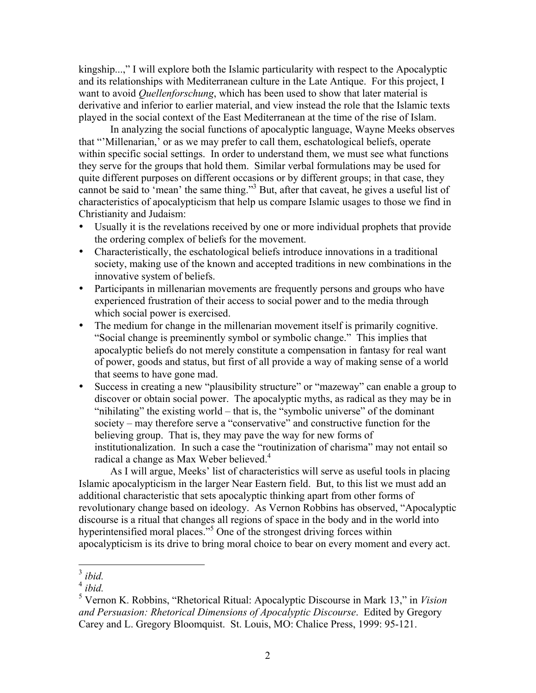kingship...," I will explore both the Islamic particularity with respect to the Apocalyptic and its relationships with Mediterranean culture in the Late Antique. For this project, I want to avoid *Quellenforschung*, which has been used to show that later material is derivative and inferior to earlier material, and view instead the role that the Islamic texts played in the social context of the East Mediterranean at the time of the rise of Islam.

In analyzing the social functions of apocalyptic language, Wayne Meeks observes that "'Millenarian,' or as we may prefer to call them, eschatological beliefs, operate within specific social settings. In order to understand them, we must see what functions they serve for the groups that hold them. Similar verbal formulations may be used for quite different purposes on different occasions or by different groups; in that case, they cannot be said to 'mean' the same thing."3 But, after that caveat, he gives a useful list of characteristics of apocalypticism that help us compare Islamic usages to those we find in Christianity and Judaism:

- Usually it is the revelations received by one or more individual prophets that provide the ordering complex of beliefs for the movement.
- Characteristically, the eschatological beliefs introduce innovations in a traditional society, making use of the known and accepted traditions in new combinations in the innovative system of beliefs.
- Participants in millenarian movements are frequently persons and groups who have experienced frustration of their access to social power and to the media through which social power is exercised.
- The medium for change in the millenarian movement itself is primarily cognitive. "Social change is preeminently symbol or symbolic change." This implies that apocalyptic beliefs do not merely constitute a compensation in fantasy for real want of power, goods and status, but first of all provide a way of making sense of a world that seems to have gone mad.
- Success in creating a new "plausibility structure" or "mazeway" can enable a group to discover or obtain social power. The apocalyptic myths, as radical as they may be in "nihilating" the existing world – that is, the "symbolic universe" of the dominant society – may therefore serve a "conservative" and constructive function for the believing group. That is, they may pave the way for new forms of institutionalization. In such a case the "routinization of charisma" may not entail so radical a change as Max Weber believed.<sup>4</sup>

As I will argue, Meeks' list of characteristics will serve as useful tools in placing Islamic apocalypticism in the larger Near Eastern field. But, to this list we must add an additional characteristic that sets apocalyptic thinking apart from other forms of revolutionary change based on ideology. As Vernon Robbins has observed, "Apocalyptic discourse is a ritual that changes all regions of space in the body and in the world into hyperintensified moral places."<sup>5</sup> One of the strongest driving forces within apocalypticism is its drive to bring moral choice to bear on every moment and every act.

 <sup>3</sup> *ibid.*

 $4$  *ibid.* 

<sup>5</sup> Vernon K. Robbins, "Rhetorical Ritual: Apocalyptic Discourse in Mark 13," in *Vision and Persuasion: Rhetorical Dimensions of Apocalyptic Discourse*. Edited by Gregory Carey and L. Gregory Bloomquist. St. Louis, MO: Chalice Press, 1999: 95-121.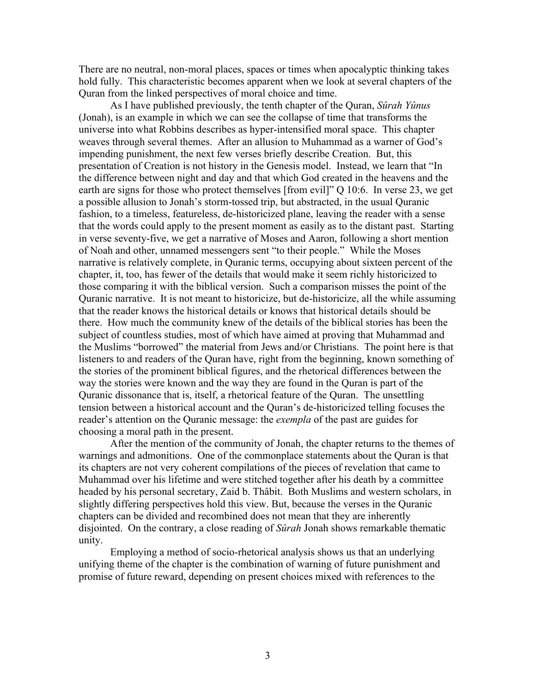There are no neutral, non-moral places, spaces or times when apocalyptic thinking takes hold fully. This characteristic becomes apparent when we look at several chapters of the Quran from the linked perspectives of moral choice and time.

As I have published previously, the tenth chapter of the Quran, *Sûrah Yûnus* (Jonah), is an example in which we can see the collapse of time that transforms the universe into what Robbins describes as hyper-intensified moral space. This chapter weaves through several themes. After an allusion to Muhammad as a warner of God's impending punishment, the next few verses briefly describe Creation. But, this presentation of Creation is not history in the Genesis model. Instead, we learn that "In the difference between night and day and that which God created in the heavens and the earth are signs for those who protect themselves [from evil]" Q 10:6. In verse 23, we get a possible allusion to Jonah's storm-tossed trip, but abstracted, in the usual Quranic fashion, to a timeless, featureless, de-historicized plane, leaving the reader with a sense that the words could apply to the present moment as easily as to the distant past. Starting in verse seventy-five, we get a narrative of Moses and Aaron, following a short mention of Noah and other, unnamed messengers sent "to their people." While the Moses narrative is relatively complete, in Quranic terms, occupying about sixteen percent of the chapter, it, too, has fewer of the details that would make it seem richly historicized to those comparing it with the biblical version. Such a comparison misses the point of the Quranic narrative. It is not meant to historicize, but de-historicize, all the while assuming that the reader knows the historical details or knows that historical details should be there. How much the community knew of the details of the biblical stories has been the subject of countless studies, most of which have aimed at proving that Muhammad and the Muslims "borrowed" the material from Jews and/or Christians. The point here is that listeners to and readers of the Quran have, right from the beginning, known something of the stories of the prominent biblical figures, and the rhetorical differences between the way the stories were known and the way they are found in the Quran is part of the Quranic dissonance that is, itself, a rhetorical feature of the Quran. The unsettling tension between a historical account and the Quran's de-historicized telling focuses the reader's attention on the Quranic message: the *exempla* of the past are guides for choosing a moral path in the present.

After the mention of the community of Jonah, the chapter returns to the themes of warnings and admonitions. One of the commonplace statements about the Quran is that its chapters are not very coherent compilations of the pieces of revelation that came to Muhammad over his lifetime and were stitched together after his death by a committee headed by his personal secretary, Zaid b. Thâbit. Both Muslims and western scholars, in slightly differing perspectives hold this view. But, because the verses in the Quranic chapters can be divided and recombined does not mean that they are inherently disjointed. On the contrary, a close reading of *Sûrah* Jonah shows remarkable thematic unity.

Employing a method of socio-rhetorical analysis shows us that an underlying unifying theme of the chapter is the combination of warning of future punishment and promise of future reward, depending on present choices mixed with references to the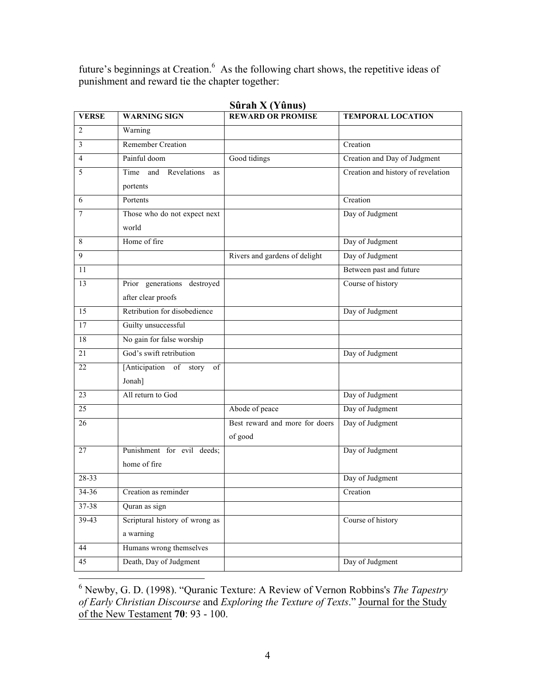future's beginnings at Creation.<sup>6</sup> As the following chart shows, the repetitive ideas of punishment and reward tie the chapter together:

| <b>VERSE</b>     | <b>WARNING SIGN</b>              | <b>REWARD OR PROMISE</b>       | <b>TEMPORAL LOCATION</b>           |
|------------------|----------------------------------|--------------------------------|------------------------------------|
| $\overline{2}$   | Warning                          |                                |                                    |
| 3                | <b>Remember Creation</b>         |                                | Creation                           |
| $\overline{4}$   | Painful doom                     | Good tidings                   | Creation and Day of Judgment       |
| 5                | Time<br>and<br>Revelations<br>as |                                | Creation and history of revelation |
|                  | portents                         |                                |                                    |
| 6                | Portents                         |                                | Creation                           |
| $\boldsymbol{7}$ | Those who do not expect next     |                                | Day of Judgment                    |
|                  | world                            |                                |                                    |
| 8                | Home of fire                     |                                | Day of Judgment                    |
| 9                |                                  | Rivers and gardens of delight  | Day of Judgment                    |
| 11               |                                  |                                | Between past and future            |
| 13               | Prior generations destroyed      |                                | Course of history                  |
|                  | after clear proofs               |                                |                                    |
| 15               | Retribution for disobedience     |                                | Day of Judgment                    |
| 17               | Guilty unsuccessful              |                                |                                    |
| 18               | No gain for false worship        |                                |                                    |
| 21               | God's swift retribution          |                                | Day of Judgment                    |
| 22               | [Anticipation of story<br>of     |                                |                                    |
|                  | Jonah]                           |                                |                                    |
| 23               | All return to God                |                                | Day of Judgment                    |
| 25               |                                  | Abode of peace                 | Day of Judgment                    |
| 26               |                                  | Best reward and more for doers | Day of Judgment                    |
|                  |                                  | of good                        |                                    |
| 27               | Punishment for evil deeds;       |                                | Day of Judgment                    |
|                  | home of fire                     |                                |                                    |
| $28 - 33$        |                                  |                                | Day of Judgment                    |
| $34 - 36$        | Creation as reminder             |                                | Creation                           |
| $37 - 38$        | Quran as sign                    |                                |                                    |
| 39-43            | Scriptural history of wrong as   |                                | Course of history                  |
|                  | a warning                        |                                |                                    |
| 44               | Humans wrong themselves          |                                |                                    |
| 45               | Death, Day of Judgment           |                                | Day of Judgment                    |

**Sûrah X (Yûnus)**

 <sup>6</sup> Newby, G. D. (1998). "Quranic Texture: A Review of Vernon Robbins's *The Tapestry of Early Christian Discourse* and *Exploring the Texture of Texts*." Journal for the Study of the New Testament **70**: 93 - 100.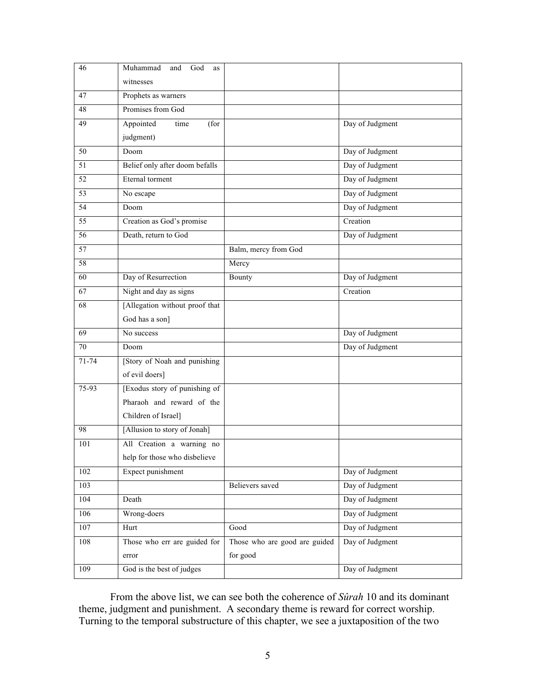| 46              | Muhammad<br>God<br>and<br>as   |                               |                 |
|-----------------|--------------------------------|-------------------------------|-----------------|
|                 | witnesses                      |                               |                 |
| 47              | Prophets as warners            |                               |                 |
| 48              | Promises from God              |                               |                 |
| 49              | Appointed<br>time<br>(for      |                               | Day of Judgment |
|                 | judgment)                      |                               |                 |
| 50              | Doom                           |                               | Day of Judgment |
| 51              | Belief only after doom befalls |                               | Day of Judgment |
| $\overline{52}$ | Eternal torment                |                               | Day of Judgment |
| $\overline{53}$ | No escape                      |                               | Day of Judgment |
| $\overline{54}$ | Doom                           |                               | Day of Judgment |
| 55              | Creation as God's promise      |                               | Creation        |
| $\overline{56}$ | Death, return to God           |                               | Day of Judgment |
| $\overline{57}$ |                                | Balm, mercy from God          |                 |
| 58              |                                | Mercy                         |                 |
| 60              | Day of Resurrection            | Bounty                        | Day of Judgment |
| 67              | Night and day as signs         |                               | Creation        |
| 68              | [Allegation without proof that |                               |                 |
|                 | God has a son]                 |                               |                 |
| 69              | No success                     |                               | Day of Judgment |
| $70\,$          | Doom                           |                               | Day of Judgment |
| $71 - 74$       | [Story of Noah and punishing   |                               |                 |
|                 | of evil doers]                 |                               |                 |
| 75-93           | [Exodus story of punishing of  |                               |                 |
|                 | Pharaoh and reward of the      |                               |                 |
|                 | Children of Israel]            |                               |                 |
| 98              | [Allusion to story of Jonah]   |                               |                 |
| 101             | All Creation a warning no      |                               |                 |
|                 | help for those who disbelieve  |                               |                 |
| 102             | Expect punishment              |                               | Day of Judgment |
| 103             |                                | Believers saved               | Day of Judgment |
| 104             | Death                          |                               | Day of Judgment |
| 106             | Wrong-doers                    |                               | Day of Judgment |
| 107             | Hurt                           | Good                          | Day of Judgment |
| $108\,$         | Those who err are guided for   | Those who are good are guided | Day of Judgment |
|                 | error                          | for good                      |                 |
| 109             | God is the best of judges      |                               | Day of Judgment |

From the above list, we can see both the coherence of *Sûrah* 10 and its dominant theme, judgment and punishment. A secondary theme is reward for correct worship. Turning to the temporal substructure of this chapter, we see a juxtaposition of the two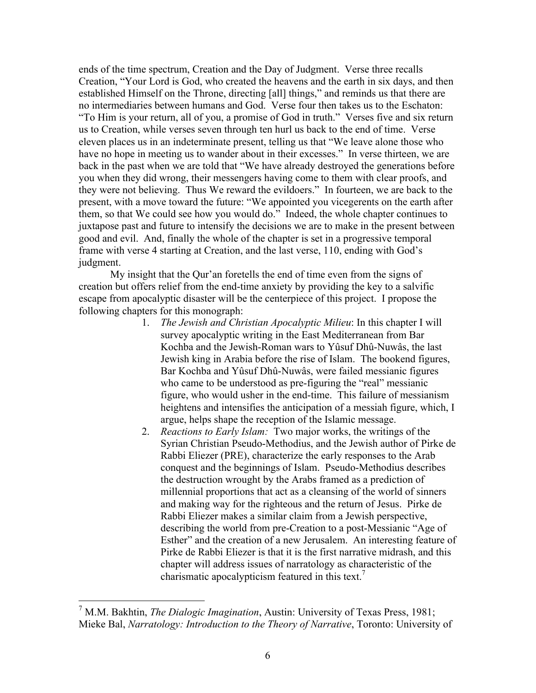ends of the time spectrum, Creation and the Day of Judgment. Verse three recalls Creation, "Your Lord is God, who created the heavens and the earth in six days, and then established Himself on the Throne, directing [all] things," and reminds us that there are no intermediaries between humans and God. Verse four then takes us to the Eschaton: "To Him is your return, all of you, a promise of God in truth." Verses five and six return us to Creation, while verses seven through ten hurl us back to the end of time. Verse eleven places us in an indeterminate present, telling us that "We leave alone those who have no hope in meeting us to wander about in their excesses." In verse thirteen, we are back in the past when we are told that "We have already destroyed the generations before you when they did wrong, their messengers having come to them with clear proofs, and they were not believing. Thus We reward the evildoers." In fourteen, we are back to the present, with a move toward the future: "We appointed you vicegerents on the earth after them, so that We could see how you would do." Indeed, the whole chapter continues to juxtapose past and future to intensify the decisions we are to make in the present between good and evil. And, finally the whole of the chapter is set in a progressive temporal frame with verse 4 starting at Creation, and the last verse, 110, ending with God's judgment.

My insight that the Qur'an foretells the end of time even from the signs of creation but offers relief from the end-time anxiety by providing the key to a salvific escape from apocalyptic disaster will be the centerpiece of this project. I propose the following chapters for this monograph:

- 1. *The Jewish and Christian Apocalyptic Milieu*: In this chapter I will survey apocalyptic writing in the East Mediterranean from Bar Kochba and the Jewish-Roman wars to Yûsuf Dhû-Nuwâs, the last Jewish king in Arabia before the rise of Islam. The bookend figures, Bar Kochba and Yûsuf Dhû-Nuwâs, were failed messianic figures who came to be understood as pre-figuring the "real" messianic figure, who would usher in the end-time. This failure of messianism heightens and intensifies the anticipation of a messiah figure, which, I argue, helps shape the reception of the Islamic message.
- 2. *Reactions to Early Islam:* Two major works, the writings of the Syrian Christian Pseudo-Methodius, and the Jewish author of Pirke de Rabbi Eliezer (PRE), characterize the early responses to the Arab conquest and the beginnings of Islam. Pseudo-Methodius describes the destruction wrought by the Arabs framed as a prediction of millennial proportions that act as a cleansing of the world of sinners and making way for the righteous and the return of Jesus. Pirke de Rabbi Eliezer makes a similar claim from a Jewish perspective, describing the world from pre-Creation to a post-Messianic "Age of Esther" and the creation of a new Jerusalem. An interesting feature of Pirke de Rabbi Eliezer is that it is the first narrative midrash, and this chapter will address issues of narratology as characteristic of the charismatic apocalypticism featured in this text.<sup>7</sup>

 <sup>7</sup> M.M. Bakhtin, *The Dialogic Imagination*, Austin: University of Texas Press, 1981; Mieke Bal, *Narratology: Introduction to the Theory of Narrative*, Toronto: University of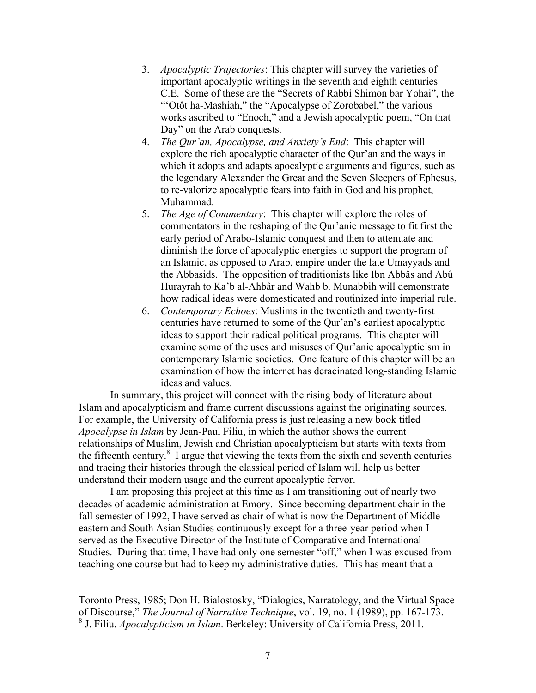- 3. *Apocalyptic Trajectories*: This chapter will survey the varieties of important apocalyptic writings in the seventh and eighth centuries C.E. Some of these are the "Secrets of Rabbi Shimon bar Yohai", the "'Otôt ha-Mashiah," the "Apocalypse of Zorobabel," the various works ascribed to "Enoch," and a Jewish apocalyptic poem, "On that Day" on the Arab conquests.
- 4. *The Qur'an, Apocalypse, and Anxiety's End*: This chapter will explore the rich apocalyptic character of the Qur'an and the ways in which it adopts and adapts apocalyptic arguments and figures, such as the legendary Alexander the Great and the Seven Sleepers of Ephesus, to re-valorize apocalyptic fears into faith in God and his prophet, Muhammad.
- 5. *The Age of Commentary*: This chapter will explore the roles of commentators in the reshaping of the Qur'anic message to fit first the early period of Arabo-Islamic conquest and then to attenuate and diminish the force of apocalyptic energies to support the program of an Islamic, as opposed to Arab, empire under the late Umayyads and the Abbasids. The opposition of traditionists like Ibn Abbâs and Abû Hurayrah to Ka'b al-Ahbâr and Wahb b. Munabbih will demonstrate how radical ideas were domesticated and routinized into imperial rule.
- 6. *Contemporary Echoes*: Muslims in the twentieth and twenty-first centuries have returned to some of the Qur'an's earliest apocalyptic ideas to support their radical political programs. This chapter will examine some of the uses and misuses of Qur'anic apocalypticism in contemporary Islamic societies. One feature of this chapter will be an examination of how the internet has deracinated long-standing Islamic ideas and values.

In summary, this project will connect with the rising body of literature about Islam and apocalypticism and frame current discussions against the originating sources. For example, the University of California press is just releasing a new book titled *Apocalypse in Islam* by Jean-Paul Filiu, in which the author shows the current relationships of Muslim, Jewish and Christian apocalypticism but starts with texts from the fifteenth century.<sup>8</sup> I argue that viewing the texts from the sixth and seventh centuries and tracing their histories through the classical period of Islam will help us better understand their modern usage and the current apocalyptic fervor.

I am proposing this project at this time as I am transitioning out of nearly two decades of academic administration at Emory. Since becoming department chair in the fall semester of 1992, I have served as chair of what is now the Department of Middle eastern and South Asian Studies continuously except for a three-year period when I served as the Executive Director of the Institute of Comparative and International Studies. During that time, I have had only one semester "off," when I was excused from teaching one course but had to keep my administrative duties. This has meant that a

Toronto Press, 1985; Don H. Bialostosky, "Dialogics, Narratology, and the Virtual Space of Discourse," *The Journal of Narrative Technique*, vol. 19, no. 1 (1989), pp. 167-173. <sup>8</sup> J. Filiu. *Apocalypticism in Islam*. Berkeley: University of California Press, 2011.

 $\overline{a}$